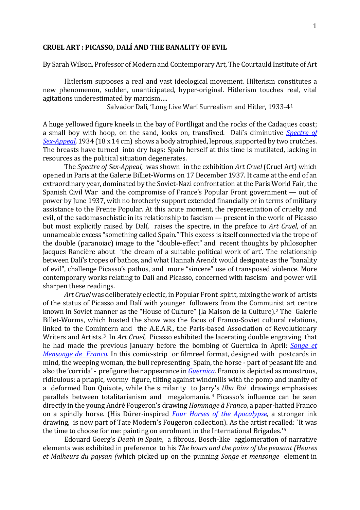## **CRUEL ART : PICASSO, DALÍ AND THE BANALITY OF EVIL**

By Sarah Wilson, Professor of Modern and Contemporary Art, The Courtauld Institute of Art

Hitlerism supposes a real and vast ideological movement. Hilterism constitutes a new phenomenon, sudden, unanticipated, hyper-original. Hitlerism touches real, vital agitations underestimated by marxism….

Salvador Dalí, 'Long Live War! Surrealism and Hitler, 1933-4[1](#page-7-0)

A huge yellowed figure kneels in the bay of Portlligat and the rocks of the Cadaques coast; a small boy with hoop, on the sand, looks on, transfixed. Dalí's diminutive *[Spectre of](http://www.salvador-dali.org/cataleg_raonat/fitxa_obra.php?obra=338&inici=1931&fi=1934)  [Sex-Appeal,](http://www.salvador-dali.org/cataleg_raonat/fitxa_obra.php?obra=338&inici=1931&fi=1934)* 1934 (18 x 14 cm) shows a body atrophied, leprous, supported by two crutches. The breasts have turned into dry bags: Spain herself at this time is mutilated, lacking in resources as the political situation degenerates.

The *Spectre of Sex-Appeal,* was shown in the exhibition *Art Cruel* (Cruel Art) which opened in Paris at the Galerie Billiet-Worms on 17 December 1937. It came at the end of an extraordinary year, dominated by the Soviet-Nazi confrontation at the Paris World Fair, the Spanish Civil War and the compromise of France's Popular Front government — out of power by June 1937, with no brotherly support extended financially or in terms of military assistance to the Frente Popular. At this acute moment, the representation of cruelty and evil, of the sadomasochistic in its relationship to fascism — present in the work of Picasso but most explicitly raised by Dalí, raises the spectre, in the preface to *Art Cruel*, of an unnameable excess "something called Spain." This excess is itself connected via the trope of the double (paranoiac) image to the "double-effect" and recent thoughts by philosopher Jacques Rancière about 'the dream of a suitable political work of art'. The relationship between Dalí's tropes of bathos, and what Hannah Arendt would designate as the "banality of evil", challenge Picasso's pathos, and more "sincere" use of transposed violence. More contemporary works relating to Dalí and Picasso, concerned with fascism and power will sharpen these readings.

*Art Cruel* was deliberately eclectic, in Popular Front spirit, mixing the work of artists of the status of Picasso and Dalí with younger followers from the Commu[ni](#page-7-1)st art centre known in Soviet manner as the "House of Culture" (la Maison de la Culture).<sup>2</sup> The Galerie Billet-Worms, which hosted the show was the focus of Franco-Soviet cultural relations, linked to the Comintern and the A.E.A.R., the Paris-based Association of Revolutionary Writers and Artists.[3](#page-7-2) In *Art Cruel,* Picasso exhibited the lacerating double engraving that he had made the previous January before the bombing of Guernica in April: *[Songe et](http://www.beaux-arts.ca/fr/voir/collections/artwork.php?mkey=39179)  [Mensonge de Franco](http://www.beaux-arts.ca/fr/voir/collections/artwork.php?mkey=39179)*. In this comic-strip or filmreel format, designed with postcards in mind, the weeping woman, the bull representing Spain, the horse - part of peasant life and also the 'corrida' - prefigure their appearance in *[Guernica.](http://www.museoreinasofia.es/en/collection/artwork/guernica)* Franco is depicted as monstrous, ridiculous: a priapic, wormy figure, tilting against windmills with the pomp and inanity of a deformed Don Quixote, while the similarity to Jarr[y](#page-7-3)'s *Ubu Roi* drawings emphasises parallels between totalitarianism and megalomania. <sup>4</sup> Picasso's influence can be seen directly in the young André Fougeron's drawing *Hommage à Franco*, a paper-hatted Franco on a spindly horse. (His Dürer-inspired *[Four Horses of the Apocalypse,](http://www.tate.org.uk/art/artworks/fougeron-the-four-horsemen-of-the-apocalypse-t07707)* a stronger ink drawing, is now part of Tate Modern's Fougeron collection). As the artist recal[le](#page-7-4)d: `It was the time to choose for me: painting on enrolment in the International Brigades.'5

Edouard Goerg's *Death in Spain*, a fibrous, Bosch-like agglomeration of narrative elements was exhibited in preference to his *The hours and the pains of the peasant (Heures et Malheurs du paysan (*which picked up on the punning *Songe et mensonge* element in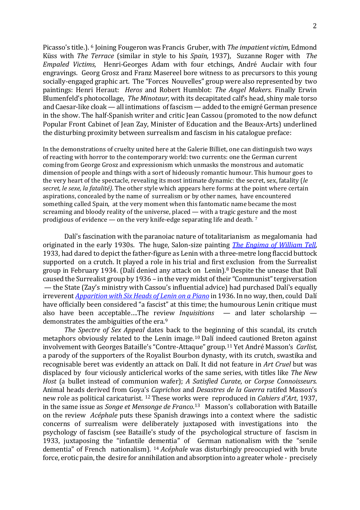Picasso's title.). <sup>6</sup> Joining Fougeron was Francis Gruber, with *The impatient victim,* Edmond Küss with *The [T](#page-7-5)errace* (similar in style to his *Spain,* 1937), Suzanne Roger with *The Empaled Victims*, Henri-Georges Adam with four etchings, André Auclair with four engravings. Georg Grosz and Franz Masereel bore witness to as precursors to this young socially-engaged graphic art. The "Forces Nouvelles" group were also represented by two paintings: Henri Heraut: *Heros* and Robert Humblot: *The Angel Makers.* Finally Erwin Blumenfeld's photocollage, *The Minotaur,* with its decapitated calf's head, shiny male torso and Caesar-like cloak — all intimations of fascism — added to the emigré German presence in the show. The half-Spanish writer and critic Jean Cassou (promoted to the now defunct Popular Front Cabinet of Jean Zay, Minister of Education and the Beaux-Arts) underlined the disturbing proximity between surrealism and fascism in his catalogue preface:

In the demonstrations of cruelty united here at the Galerie Billiet, one can distinguish two ways of reacting with horror to the contemporary world: two currents: one the German current coming from George Grosz and expressionism which unmasks the monstrous and automatic dimension of people and things with a sort of hideously romantic humour. This humour goes to the very heart of the spectacle, revealing its most intimate dynamic: the secret, sex, fatality (*le secret, le sexe, la fatalité).* The other style which appears here forms at the point where certain aspirations, concealed by the name of surrealism or by other names, have encountered something called Spain, at the very moment when this fantomatic name became the most screaming and bloody reality of the universe, placed — with a tragic gestu[re](#page-7-6) and the most prodigious of evidence — on the very knife-edge separating life and death. 7

Dalí's fascination with the paranoiac nature of totalitarianism as megalomania had originated in the early 1930s. The huge, Salon-size painting *[The Engima of William Tell](http://www.salvador-dali.org/cataleg_raonat/fitxa_obra.php?obra=133&inici=1931&fi=1934)*, 1933, had dared to depict the father-figure as Lenin with a three-metre long flaccid buttock supported on a crutch. It played a role in his trial and first [e](#page-8-0)xclusion from the Surrealist group in February 1934. (Dalí denied any attack on Lenin). <sup>8</sup> Despite the unease that Dalí caused the Surrealist group by 1936 – in the very midst of their "Communist" tergiversation — the State (Zay's ministry with Cassou's influential advice) had purchased Dalí's equally irreverent *[Apparition with Six Heads of Lenin on a Piano](http://www.salvador-dali.org/cataleg_raonat/fitxa_obra.php?obra=266&inici=1931&fi=1934)* in 1936. In no way, then, could Dalí have officially been considered "a fascist" at this time; the humourous Lenin critique must also have been acceptable….The review *Inquisitions* — and later scholarship — demonstrates the ambiguities of the era.<sup>[9](#page-8-1)</sup>

 *The Spectre of Sex Appeal* dates back to the beginning of this scandal, its crutch metaphors obviously related to the Lenin image.[10](#page-8-2) Dalí indeed cautioned Breton against involvement with Georges Bataille's "Contre-Attaque" group.[11](#page-8-3) Yet André Masson's *Carlist,* a parody of the supporters of the Royalist Bourbon dynasty, with its crutch, swastika and recognisable beret was evidently an attack on Dalí. It did not feature in *Art Cruel* but was displaced by four viciously anticlerical works of the same series, with titles like *The New Host* (a bullet instead of communion wafer); *A Satisfied Curate*, or *Corpse Connoisseurs.* Animal heads derived from Goya['s](#page-8-4) *Caprichos* and *Desastres de la Guerra* ratifed Masson's new role as political caricaturist. <sup>12</sup> These works were reproduced in *Cahiers d'Art*, 1937, in the same issue as *Songe et Mensonge de Franco*. [13](#page-8-5) Masson's collaboration with Bataille on the review *Acéphale* puts these Spanish drawings into a context where the sadistic concerns of surrealism were deliberately juxtaposed with investigations into psychology of fascism (see Bataille's study of the psychological structure of fascism in 1933, juxtaposing the "infantile dementia" of German nationalism with the "senile dementia" of French nationalism). [14](#page-8-6) *Acéphale* was disturbingly preoccupied with brute force, erotic pain, the desire for annihilation and absorption into a greater whole - precisely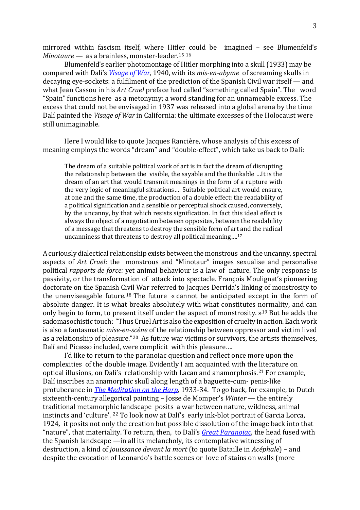mirrored within fascism itself, where Hitler could be imagined – see Blumenfeld's *Minotaure* — as a brainless, monster-leader.<sup>[15](#page-8-7)</sup> <sup>[16](#page-8-8)</sup>

Blumenfeld's earlier photomontage of Hitler morphing into a skull (1933) may be compared with Dalí's *[Visage of War,](http://www.salvador-dali.org/cataleg_raonat/fitxa_obra.php?obra=499&inici=1940&fi=1946)* 1940, with its *mis-en-abyme* of screaming skulls in decaying eye-sockets: a fulfilment of the prediction of the Spanish Civil war itself — and what Jean Cassou in his *Art Cruel* preface had called "something called Spain". The word "Spain" functions here as a metonymy; a word standing for an unnameable excess. The excess that could not be envisaged in 1937 was released into a global arena by the time Dalí painted the *Visage of War* in California: the ultimate excesses of the Holocaust were still unimaginable.

Here I would like to quote Jacques Rancière, whose analysis of this excess of meaning employs the words "dream" and "double-effect", which take us back to Dalí:

The dream of a suitable political work of art is in fact the dream of disrupting the relationship between the visible, the sayable and the thinkable …It is the dream of an art that would transmit meanings in the form of a rupture with the very logic of meaningful situations…. Suitable political art would ensure, at one and the same time, the production of a double effect: the readability of a political signification and a sensible or perceptual shock caused, conversely, by the uncanny, by that which resists signification. In fact this ideal effect is always the object of a negotiation between opposites, between the readability of a message that threatens to destroy the sensible form of ar[t a](#page-8-9)nd the radical uncanniness that threatens to destroy all political meaning….17

A curiously dialectical relationship exists between the monstrous and the uncanny, spectral aspects of *Art Cruel*: the monstrous and "Minotaur" images sexualise and personalise political *rapports de force:* yet animal behaviour is a law of nature. The only response is passivity, or the transformation of attack into spectacle. François Moulignat's pioneering doctorate on the Spanish C[ivi](#page-8-10)l War referred to Jacques Derrida's linking of monstrosity to the unenviseagable future. <sup>18</sup> The future « cannot be anticipated except in the form of absolute danger. It is what breaks absolutely with what constitutes normality, and can only begin to form, to present itself under the aspect of monstrosity. »[19](#page-8-11) But he adds the sadomasochistic touch: "Thus Cruel Artis also the exposition of cruelty in action. Each work is also a fantasmatic *mise-en-scène* of the relationship between oppressor and victim lived as a relationship of pleasure."[20](#page-9-0) As future war victims or survivors, the artists themselves, Dalí and Picasso included, were complicit with this pleasure….

I'd like to return to the paranoiac question and reflect once more upon the complexities of the double image. Evidently I am acquainted with the [lit](#page-9-1)erature on optical illusions, on Dalí's relationship with Lacan and anamorphosis. <sup>21</sup> For example, Dalí inscribes an anamorphic skull along length of a baguette-cum- penis-like protuberance in *[The Meditation on the Harp](http://www.salvador-dali.org/cataleg_raonat/fitxa_obra.php?text=meditation&obra=305)*, 1933-34. To go back, for example, to Dutch sixteenth-century allegorical painting – Josse de Momper's *Winter* — the entirely traditional metamorphic landscape posits a war between nature, wildness, animal instincts and 'culture'. [22](#page-9-2) To look now at Dalí's early ink-blot portrait of Garcia Lorca, 1924*,* it posits not only the creation but possible dissolution of the image back into that "nature", that materiality. To return, then, to Dalí's *[Great Paranoiac](http://www.salvador-dali.org/cataleg_raonat/fitxa_obra.php?obra=435&inici=1935&fi=1939)*, the head fused with the Spanish landscape *—*in all its melancholy, its contemplative witnessing of destruction, a kind of *jouissance devant la mort* (to quote Bataille in *Acéphale*) – and despite the evocation of Leonardo's battle scenes or love of stains on walls (more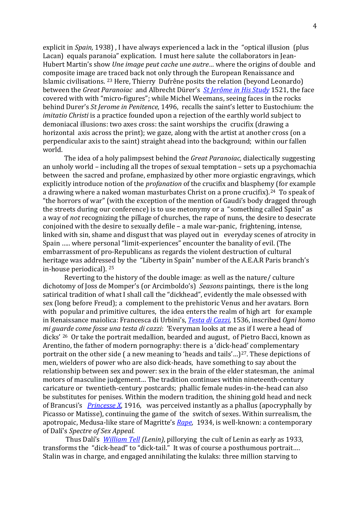explicit in *Spain,* 1938) , I have always experienced a lack in the "optical illusion (plus Lacan) equals paranoia" explication. I must here salute the collaborators in Jean-Hubert Martin's show *Une image peut cache une autre…* where the origins of double and composite image are traced back not only through the European Renaissance and Islamic civilisations. [23](#page-9-3) Here, Thierry Dufrêne posits the relation (beyond Leonardo) between the *Great Paranoiac* and Albrecht Dürer's *[St Jerôme in His Study](http://www.britishmuseum.org/explore/highlights/highlight_objects/pd/a/albrecht_d%C3%BCrer,_st_jerome.aspx)* 1521, the face covered with with "micro-figures"; while Michel Weemans, seeing faces in the rocks behind Durer's *St Jerome in Penitence,* 1496, recalls the saint's letter to Eustochium: the *imitatio Christi* is a practice founded upon a rejection of the earthly world subject to demoniacal illusions: two axes cross: the saint worships the crucifix (drawing a horizontal axis across the print); we gaze, along with the artist at another cross (on a perpendicular axis to the saint) straight ahead into the background; within our fallen world.

The idea of a holy palimpsest behind the *Great Paranoiac,* dialectically suggesting an unholy world – including all the tropes of sexual temptation – sets up a psychomachia between the sacred and profane, emphasized by other more orgiastic engravings, which explicitly introduce notion of the *profanation* of the crucifix and blasphemy (for example a drawing where a naked woman masturbates Christ on a prone crucifix).<sup>[24](#page-9-4)</sup> To speak of "the horrors of war" (with the exception of the mention of Gaudi's body dragged through the streets during our conference) is to use metonymy or a "something called Spain" as a way of *not* recognizing the pillage of churches, the rape of nuns, the desire to desecrate conjoined with the desire to sexually defile – a male war-panic, frightening, intense, linked with sin, shame and disgust that was played out in everyday scenes of atrocity in Spain ….. where personal "limit-experiences" encounter the banality of evil. (The embarrassment of pro-Republicans as regards the violent destruction of cultural heritage was addressed by the "Liberty in Spain" number of the A.E.A.R Paris branch's in-house periodical). [25](#page-9-5)

Reverting to the history of the double image: as well as the nature/ culture dichotomy of Joss de Momper's (or Arcimboldo's) *Seasons* paintings, there is the long satirical tradition of what I shall call the "dickhead", evidently the male obsessed with sex (long before Freud); a complement to the prehistoric Venus and her avatars. Born with popular and primitive cultures, the idea enters the realm of high art for example in Renaissance maiolica: Francesca di Urbini's, *[Testa di Cazzi,](http://www.wga.hu/html_m/u/urbini/testa.html)* 1536, inscribed *Ogni homo mi guarde come fosse una testa di cazzi*: 'Everyman looks at me as if I were a head of dicks' [26](#page-9-6) Or take the portrait medallion, bearded and august, of Pietro Bacci, known as Arentino, the father of modern pornography: there is a 'dick-head' complementary portrait on the other side (a new meaning to 'heads and tails'...)<sup>27</sup>. These depictions of men, wielders of power who are also dick-heads, have something to say about the relationship between sex and power: sex in the brain of the elder statesman, the animal motors of masculine judgement… The tradition continues within nineteenth-century caricature or twentieth-century postcards; phallic female nudes-in-the-head can also be substitutes for penises. Within the modern tradition, the shining gold head and neck of Brancusi's *[Princesse X](http://www.philamuseum.org/collections/permanent/51035.html)*, 1916, was perceived instantly as a phallus (apocryphally by Picasso or Matisse), continuing the game of the switch of sexes. Within surrealism, the apotropaic, Medusa-like stare of Magritte's *[Rape,](http://www.renemagritte.org/rape.jsp)* 1934, is well-known: a contemporary of Dalí's *Spectre of Sex Appeal.* 

Thus Dalí's *[William Tell](http://www.salvador-dali.org/cataleg_raonat/fitxa_obra.php?text=william%20tell&obra=254) (Lenin)*, pillorying the cult of Lenin as early as 1933, transforms the "dick-head" to "dick-tail." It was of course a posthumous portrait…. Stalin was in charge, and engaged annihilating the kulaks: three million starving to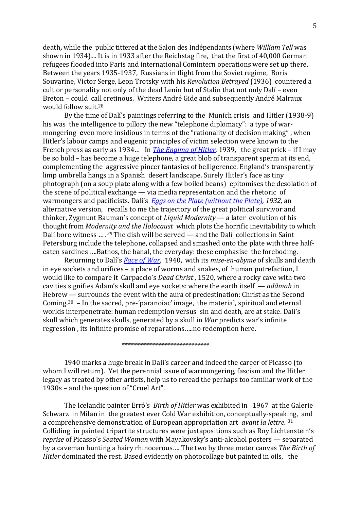death**,** while the public tittered at the Salon des Indépendants (where *William Tell* was shown in 1934).... It is in 1933 after the Reichstag fire, that the first of 40,000 German refugees flooded into Paris and international Comintern operations were set up there. Between the years 1935-1937, Russians in flight from the Soviet regime, Boris Souvarine, Victor Serge, Leon Trotsky with his *Revolution Betrayed* (1936) countered a cult or personality not only of the dead Lenin but of Stalin that not only Dalí – even Breton – could call cretinous. Writers André Gide and subsequently André Malraux would follow suit.[28](#page-9-8)

By the time of Dalí's paintings referring to the Munich crisis and Hitler (1938-9) his was the intelligence to pillory the new "telephone diplomacy": a type of warmongering **e**ven more insidious in terms of the "rationality of decision making" , when Hitler's labour camps and eugenic principles of victim selection were known to the French press as early as 1934… In *[The Engima of Hitler,](http://www.salvador-dali.org/cataleg_raonat/fitxa_obra.php?obra=475&inici=1935&fi=1939)* 1939, the great prick – if I may be so bold – has become a huge telephone, a great blob of transparent sperm at its end, complementing the aggressive pincer fantasies of belligerence. England's transparently limp umbrella hangs in a Spanish desert landscape. Surely Hitler's face as tiny photograph (on a soup plate along with a few boiled beans) epitomises the desolation of the scene of political exchange — via media representation and the rhetoric of warmongers and pacificists. Dalí's *[Eggs on the Plate \(without the Plate\),](http://thedali.org/exhibit/eggs-plate-without-plate/) 1932,* an alternative version, recalls to me the trajectory of the great political survivor and thinker, Zygmunt Bauman's concept of *Liquid Modernity* — a later evolution of his thought from *Modernity and the Holocaust* which plots the horrific inevitability to which Dalí bore witness … *. [29](#page-9-9)* The dish will be served — and the Dalí collections in Saint Petersburg include the telephone, collapsed and smashed onto the plate with three halfeaten sardines ….Bathos, the banal, the everyday: these emphasise the foreboding.

Returning to Dalí's *[Face of War](http://www.salvador-dali.org/cataleg_raonat/fitxa_obra.php?obra=499&inici=1940&fi=1946)*, 1940, with its *mise-en-abyme* of skulls and death in eye sockets and orifices – a place of worms and snakes, of human putrefaction, I would like to compare it Carpaccio's *Dead Christ* , 1520, where a rocky cave with two cavities signifies Adam's skull and eye sockets: where the earth itself — *adâmah* in Hebrew — surrounds the event with the aura of predestination: Christ as the Second Coming.[30](#page-9-10) – In the sacred, pre-'paranoiac' image, the material, spiritual and eternal worlds interpenetrate: human redemption versus sin and death, are at stake. Dalí's skull which generates skulls, generated by a skull in *War* predicts war's infinite regression , its infinite promise of reparations…..no redemption here.

## *\*\*\*\*\*\*\*\*\*\*\*\*\*\*\*\*\*\*\*\*\*\*\*\*\*\*\*\*\**

1940 marks a huge break in Dalí's career and indeed the career of Picasso (to whom I will return). Yet the perennial issue of warmongering, fascism and the Hitler legacy as treated by other artists, help us to reread the perhaps too familiar work of the 1930s – and the question of "Cruel Art".

The Icelandic painter Erró's *Birth of Hitler* was exhibited in 1967 at the Galerie Schwarz in Milan in the greatest ever Cold War exhibition, conceptually-speak[in](#page-9-11)g, and a comprehensive demonstration of European appropriation art *avant la lettre.* <sup>31</sup> Colliding in painted tripartite structures were juxtapositions such as Roy Lichtenstein's *reprise* of Picasso's *Seated Woman* with Mayakovsky's anti-alcohol posters — separated by a caveman hunting a hairy rhinocerous…. The two by three meter canvas *The Birth of Hitler* dominated the rest. Based evidently on photocollage but painted in oils, the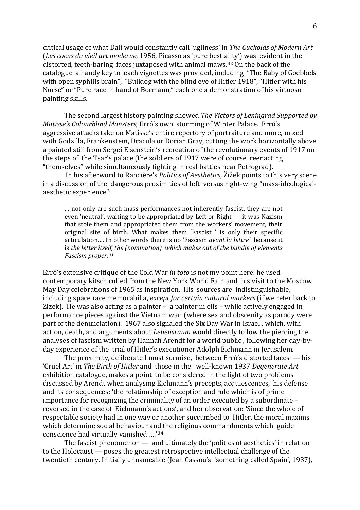critical usage of what Dalí would constantly call 'ugliness' in *The Cuckolds of Modern Art*  (*Les cocus du vieil art moderne*, 1956, Picasso as 'pure bestiality') was evident in the distorted, teeth-baring faces juxtaposed with animal maws.[32](#page-9-12) On the back of the catalogue a handy key to each vignettes was provided, including "The Baby of Goebbels with open syphilis brain", "Bulldog with the blind eye of Hitler 1918", "Hitler with his Nurse" or "Pure race in hand of Bormann," each one a demonstration of his virtuoso painting skills.

The second largest history painting showed *The Victors of Leningrad Supported by Matisse's Colourblind Monsters,* Erró's own storming of Winter Palace*.* Erró's aggressive attacks take on Matisse's entire repertory of portraiture and more, mixed with Godzilla, Frankenstein, Dracula or Dorian Gray, cutting the work horizontally above a painted still from Sergei Eisenstein's recreation of the revolutionary events of 1917 on the steps of the Tsar's palace (the soldiers of 1917 were of course reenacting "themselves" while simultaneously fighting in real battles near Petrograd).

In his afterword to Rancière's *Politics of Aesthetics*, Žižek points to this very scene in a discussion of the dangerous proximities of left versus right-wing **"**mass-ideologicalaesthetic experience":

… not only are such mass performances not inherently fascist, they are not even 'neutral', waiting to be appropriated by Left or Right — it was Nazism that stole them and appropriated them from the workers' movement, their original site of birth. What makes them 'Fascist ' is only their specific articulation…. In other words there is no 'Fascism *avant la lettre'* because it is *the letter itself, the (nomination) which makes out of the bundle of elements Fascism proper.[33](#page-10-0)*

Erró's extensive critique of the Cold War *in toto* is not my point here: he used contemporary kitsch culled from the New York World Fair and his visit to the Moscow May Day celebrations of 1965 as inspiration. His sources are indistinguishable, including space race memorabilia, *except for certain cultural markers* (if we refer back to Zizek). He was also acting as a painter – a painter in oils – while actively engaged in performance pieces against the Vietnam war (where sex and obscenity as parody were part of the denunciation). 1967 also signaled the Six Day War in Israel , which, with action, death, and arguments about *Lebensraum* would directly follow the piercing the analyses of fascism written by Hannah Arendt for a world public , following her day-byday experience of the trial of Hitler's executioner Adolph Eichmann in Jerusalem.

The proximity, deliberate I must surmise, between Erró's distorted faces — his 'Cruel Art' in *The Birth of Hitler* and those in the well-known 1937 *Degenerate Art* exhibition catalogue, makes a point to be considered in the light of two problems discussed by Arendt when analysing Eichmann's precepts, acquiescences, his defense and its consequences: 'the relationship of exception and rule which is of prime importance for recognizing the criminality of an order executed by a subordinate – reversed in the case of Eichmann's actions', and her observation: 'Since the whole of respectable society had in one way or another succumbed to Hitler, the moral maxims which determine social behaviour and the religious commandments which guide conscience had virtually vanished ….'**[34](#page-10-1)**

The fascist phenomenon — and ultimately the 'politics of aesthetics' in relation to the Holocaust — poses the greatest retrospective intellectual challenge of the twentieth century. Initially unnameable (Jean Cassou's 'something called Spain', 1937),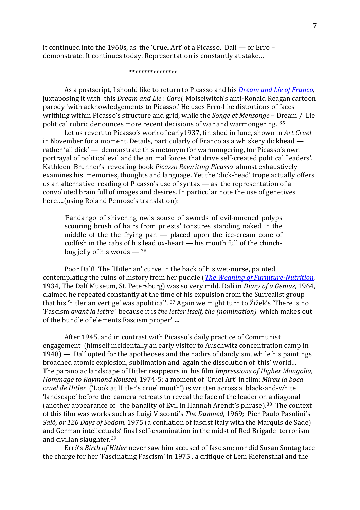it continued into the 1960s, as the 'Cruel Art' of a Picasso, Dalí — or Erro – demonstrate. It continues today. Representation is constantly at stake…

 *\*\*\*\*\*\*\*\*\*\*\*\*\*\*\*\**

As a postscript, I should like to return to Picasso and his *[Dream and Lie](http://www.moma.org/collection/works/129230?locale=en) of Franco,*  juxtaposing it with this *Dream and Lie* : *Carel,* Moiseiwitch's anti-Ronald Reagan cartoon parody 'with acknowledgements to Picasso.' He uses Erro-like distortions of faces writhing within Picasso's structure and grid, while the *Songe et Mensonge* – Dream / Lie political rubric denounces more recent decisions of war and warmongering. **[35](#page-10-2)**

Let us revert to Picasso's work of early1937, finished in June, shown in *Art Cruel* in November for a moment. Details, particularly of Franco as a whiskery dickhead rather 'all dick' — demonstrate this metonym for warmongering, for Picasso's own portrayal of political evil and the animal forces that drive self-created political 'leaders'. Kathleen Brunner's revealing book *Picasso Rewriting Picasso* almost exhaustively examines his memories, thoughts and language. Yet the 'dick-head' trope actually offers us an alternative reading of Picasso's use of syntax — as the representation of a convoluted brain full of images and desires. In particular note the use of genetives here….(using Roland Penrose's translation):

'Fandango of shivering owls souse of swords of evil-omened polyps scouring brush of hairs from priests' tonsures standing naked in the middle of the the frying pan — placed upon the ice-cream cone of codfish in the cabs of hi[s le](#page-10-3)ad ox-heart — his mouth full of the chinchbug jelly of his words  $-$  36

Poor Dalí! The 'Hitlerian' curve in the back of his wet-nurse, painted contemplating the ruins of history from her puddle (*[The Weaning of Furniture-Nutrition](http://thedali.org/exhibit/weaning-furniture-nutrition/)*, 1934, The Dalí Museum, St. Petersburg) was so very mild. Dalí in *Diary of a Genius*, 1964, claimed he repeated constantly at the ti[me](#page-10-4) of his expulsion from the Surrealist group that his 'hitlerian vertige' was apolitical'. <sup>37</sup> Again we might turn to Žižek's 'There is no 'Fascism *avant la lettre'* because it is *the letter itself, the (nomination)* which makes out of the bundle of elements Fascism proper' **…**

After 1945, and in contrast with Picasso's daily practice of Communist engagement (himself incidentally an early visitor to Auschwitz concentration camp in 1948) — Dalí opted for the apotheoses and the nadirs of dandyism, while his paintings broached atomic explosion, sublimation and again the dissolution of 'this' world… The paranoiac landscape of Hitler reappears in his film *Impressions of Higher Mongolia*, *Hommage to Raymond Roussel,* 1974-5: a moment of 'Cruel Art' in film: *Mireu la boca cruel de Hitler* ('Look at Hitler's cruel mouth') is written across a black-and-white 'landscape' before the camera retreats to reveal the face of the leader on a diagonal (another appearance of the banality of Evil in Hannah Arendt's phrase).<sup>[38](#page-10-5)</sup> The context of this film was works such as Luigi Visconti's *The Damned*, 1969; Pier Paulo Pasolini's *Salò, or 120 Days of Sodom,* 1975 (a conflation of fascist Italy with the Marquis de Sade) and German intellect[ual](#page-10-6)s' final self-examination in the midst of Red Brigade terrorism and civilian slaughter. 39

Erró's *Birth of Hitler* never saw him accused of fascism; nor did Susan Sontag face the charge for her 'Fascinating Fascism' in 1975 , a critique of Leni Riefensthal and the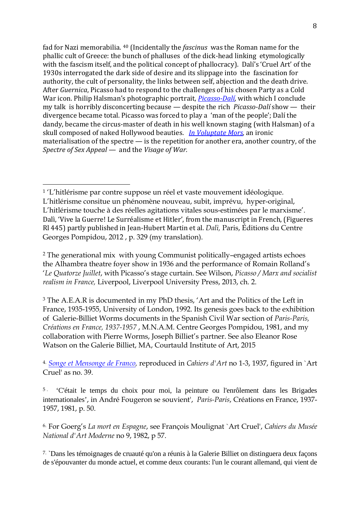fad for Nazi memorabilia. [40](#page-10-7) (Incidentally the *fascinus* was the Roman name for the phallic cult of Greece: the bunch of phalluses of the dick-head linking etymologically with the fascism itself, and the political concept of phallocracy). Dalí's 'Cruel Art' of the 1930s interrogated the dark side of desire and its slippage into the fascination for authority, the cult of personality, the links between self, abjection and the death drive. After *Guernica*, Picasso had to respond to the challenges of his chosen Party as a Cold War icon. Philip Halsman's photographic portrait, *[Picasso-Dalí,](http://www.magnumphotos.com/C.aspx?VP3=SearchResult&ALID=2K7O3R1IYT45)* with which I conclude my talk is horribly disconcerting because — despite the rich *Picasso-Dalí* show — their divergence became total. Picasso was forced to play a 'man of the people'; Dalí the dandy, became the circus-master of death in his well known staging (with Halsman) of a skull composed of naked Hollywood beauties. *[In Voluptate Mors,](http://www.magnumphotos.com/C.aspx?VP3=SearchResult&VBID=2K1HZOLZHCG7RT&SMLS=1&RW=1920&RH=961)* an ironic materialisation of the spectre — is the repetition for another era, another country, of the *Spectre of Sex Appeal —* and the *Visage of War.* 

<span id="page-7-1"></span><sup>2</sup> The generational mix with young Communist politically–engaged artists echoes the Alhambra theatre foyer show in 1936 and the performance of Romain Rolland's '*Le Quatorze Juillet*, with Picasso's stage curtain. See Wilson, *Picasso / Marx and socialist realism in France,* Liverpool, Liverpool University Press, 2013, ch. 2.

<span id="page-7-2"></span><sup>3</sup> The A.E.A.R is documented in my PhD thesis, 'Art and the Politics of the Left in France, 1935-1955, University of London, 1992. Its genesis goes back to the exhibition of Galerie-Billiet Worms documents in the Spanish Civil War section of *Paris-Paris, Créations en France, 1937-1957* , M.N.A.M. Centre Georges Pompidou, 1981, and my collaboration with Pierre Worms, Joseph Billiet's partner. See also Eleanor Rose Watson on the Galerie Billiet, MA, Courtauld Institute of Art, 2015

<span id="page-7-3"></span>4. *[Songe et Mensonge de Franco,](https://www.beaux-arts.ca/fr/voir/collections/artwork.php?mkey=39179)* reproduced in *Cahiers d'Art* no 1-3, 1937, figured in `Art Cruel' as no. 39.

<span id="page-7-4"></span><sup>5</sup> . 'C'était le temps du choix pour moi, la peinture ou l'enrôlement dans les Brigades internationales', in André Fougeron se souvient', *Paris-Paris*, Créations en France, 1937- 1957, 1981, p. 50.

<span id="page-7-5"></span>6. For Goerg's *La mort en Espagne*, see François Moulignat `Art Cruel', *Cahiers du Musée National d'Art Moderne* no 9, 1982, p 57.

<span id="page-7-6"></span>7. `Dans les témoignages de cruauté qu'on a réunis à la Galerie Billiet on distinguera deux façons de s'épouvanter du monde actuel, et comme deux courants: l'un le courant allemand, qui vient de

<span id="page-7-0"></span><sup>&</sup>lt;sup>1</sup> 'L'hitlérisme par contre suppose un réel et vaste mouvement idéologique. L'hitlérisme consitue un phénomène nouveau, subit, imprévu, hyper-original, L'hitlérisme touche à des réelles agitations vitales sous-estimées par le marxisme'. Dalì, 'Vive la Guerre! Le Surréalisme et Hitler', from the manuscript in French, (Figueres Rl 445) partly published in Jean-Hubert Martin et al. *Dalì,* Paris, Éditions du Centre Georges Pompidou, 2012 , p. 329 (my translation). j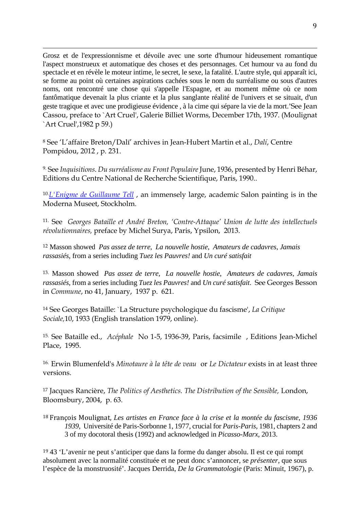j Grosz et de l'expressionnisme et dévoile avec une sorte d'humour hideusement romantique l'aspect monstrueux et automatique des choses et des personnages. Cet humour va au fond du spectacle et en révèle le moteur intime, le secret, le sexe, la fatalité. L'autre style, qui apparaît ici, se forme au point où certaines aspirations cachées sous le nom du surréalisme ou sous d'autres noms, ont rencontré une chose qui s'appelle l'Espagne, et au moment même où ce nom fantômatique devenait la plus criante et la plus sanglante réalité de l'univers et se situait, d'un geste tragique et avec une prodigieuse évidence , à la cime qui sépare la vie de la mort.'See Jean Cassou, preface to `Art Cruel', Galerie Billiet Worms, December 17th, 1937. (Moulignat `Art Cruel',1982 p 59.)

<span id="page-8-0"></span><sup>8</sup> See 'L'affaire Breton/Dalí' archives in Jean-Hubert Martin et al., *Dalí*, Centre Pompidou, 2012 , p. 231.

<span id="page-8-1"></span>9. See *Inquisitions*. *Du surréalisme au Front Populaire*June, 1936, presented by Henri Béhar, Editions du Centre National de Recherche Scientifique, Paris, 1990..

<span id="page-8-2"></span>10. *[L'Enigme de Guillaume Tell](https://www.salvador-dali.org/cataleg_raonat/fitxa_imprimir.php?obra=133&lang=fr)* , an immensely large, academic Salon painting is in the Moderna Museet, Stockholm.

<span id="page-8-3"></span>11. See *Georges Bataille et André Breton, 'Contre-Attaque' Union de lutte des intellectuels révolutionnaires,* preface by Michel Surya, Paris, Ypsilon, 2013.

<span id="page-8-4"></span><sup>12</sup> Masson showed *Pas assez de terre, La nouvelle hostie, Amateurs de cadavres*, *Jamais rassasiés*, from a series including *Tuez les Pauvres!* and *Un curé satisfait*

<span id="page-8-5"></span>13. Masson showed *Pas assez de terre, La nouvelle hostie, Amateurs de cadavres*, *Jamais rassasiés*, from a series including *Tuez les Pauvres!* and *Un curé satisfait*. See Georges Besson in *Commune*, no 41, January, 1937 p. 621.

<span id="page-8-6"></span><sup>14</sup> See Georges Bataille: `La Structure psychologique du fascisme', *La Critique Sociale,*10, 1933 (English translation 1979, online).

<span id="page-8-7"></span>15. See Bataille ed., *Acéphale* No 1-5, 1936-39, Paris, facsimile , Editions Jean-Michel Place, 1995.

<span id="page-8-8"></span>16. Erwin Blumenfeld's *Minotaure à la tête de veau* or *Le Dictateur* exists in at least three versions.

<span id="page-8-9"></span><sup>17</sup> Jacques Rancière, *The Politics of Aesthetics. The Distribution of the Sensible,* London, Bloomsbury, 2004, p. 63.

<span id="page-8-10"></span><sup>18</sup> François Moulignat, *Les artistes en France face à la crise et la montée du fascisme*, *1936 1939*, Université de Paris-Sorbonne 1, 1977, crucial for *Paris-Paris,* 1981, chapters 2 and 3 of my docotoral thesis (1992) and acknowledged in *Picasso-Marx,* 2013.

<span id="page-8-11"></span><sup>19</sup> 43 'L'avenir ne peut s'anticiper que dans la forme du danger absolu. Il est ce qui rompt absolument avec la normalité constituée et ne peut donc s'annoncer, se *présenter,* que sous l'espèce de la monstruosité'. Jacques Derrida, *De la Grammatologie* (Paris: Minuit, 1967), p.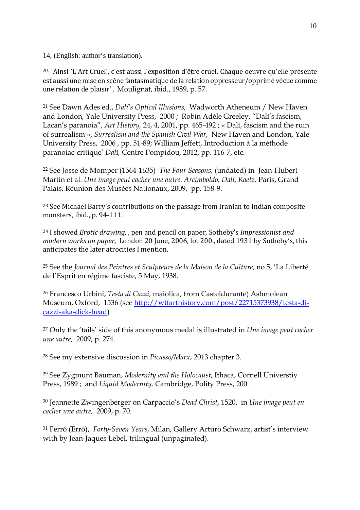j 14, (English: author's translation).

<span id="page-9-0"></span>20. `Ainsi `L'Art Cruel', c'est aussi l'exposition d'être cruel. Chaque oeuvre qu'elle présente est aussi une mise en scène fantasmatique de la relation oppresseur/opprimé vécue comme une relation de plaisir' , Moulignat, ibid., 1989, p. 57.

<span id="page-9-1"></span><sup>21</sup> See Dawn Ades ed., *Dalí's Optical Illusions,* Wadworth Atheneum / New Haven and London, Yale University Press, 2000 ; Robin Adèle Greeley, "Dalí's fascism, Lacan's paranoia", *Art History,* 24, 4, 2001, pp. 465-492 ; « Dalí, fascism and the ruin of surrealism », *Surrealism and the Spanish Civil War*, New Haven and London, Yale University Press, 2006 , pp. 51-89; William Jeffett, Introduction à la méthode paranoiac-critique' *Dal*í*,* Centre Pompidou, 2012, pp. 116-7, etc.

<span id="page-9-2"></span><sup>22</sup> See Josse de Momper (1564-1635) *The Four Seasons,* (undated) in Jean-Hubert Martin et al. *Une image peut cacher une autre*. *Arcimboldo, Dalí, Raetz,* Paris, Grand Palais, Réunion des Musées Nationaux, 2009, pp. 158-9.

<span id="page-9-3"></span><sup>23</sup> See Michael Barry's contributions on the passage from Iranian to Indian composite monsters, ibid., p. 94-111.

<span id="page-9-4"></span><sup>24</sup> I showed *Erotic drawing,* , pen and pencil on paper, Sotheby's *Impressionist and modern works on paper,* London 20 June, 2006, lot 200., dated 1931 by Sotheby's, this anticipates the later atrocities I mention.

<span id="page-9-5"></span><sup>25</sup> See the *Journal des Peintres et Sculpteurs de la Maison de la Culture*, no 5, 'La Liberté de l'Esprit en régime fasciste, 5 May, 1938.

<span id="page-9-6"></span><sup>26</sup> Francesco Urbini, *Testa di Cazzi,* maiolica, from Casteldurante) Ashmolean Museum, Oxford, 1536 (see [http://wtfarthistory.com/post/22715373938/testa-di](http://wtfarthistory.com/post/22715373938/testa-di-cazzi-aka-dick-head)[cazzi-aka-dick-head\)](http://wtfarthistory.com/post/22715373938/testa-di-cazzi-aka-dick-head)

<span id="page-9-7"></span><sup>27</sup> Only the 'tails' side of this anonymous medal is illustrated in *Une image peut cacher une autre,* 2009, p. 274.

<span id="page-9-8"></span><sup>28</sup> See my extensive discussion in *Picasso/Marx*, 2013 chapter 3.

<span id="page-9-9"></span><sup>29</sup> See Zygmunt Bauman, *Modernity and the Holocaust*, Ithaca, Cornell Universtiy Press, 1989 ; and *Liquid Modernity,* Cambridge, Polity Press, 200.

<span id="page-9-10"></span><sup>30</sup> Jeannette Zwingenberger on Carpaccio's *Dead Christ*, 1520, in *Une image peut en cacher une autre,* 2009, p. 70.

<span id="page-9-12"></span><span id="page-9-11"></span><sup>31</sup> Ferró (Erró), *Forty-Seven Years*, Milan, Gallery Arturo Schwarz, artist's interview with by Jean-Jaques Lebel, trilingual (unpaginated).